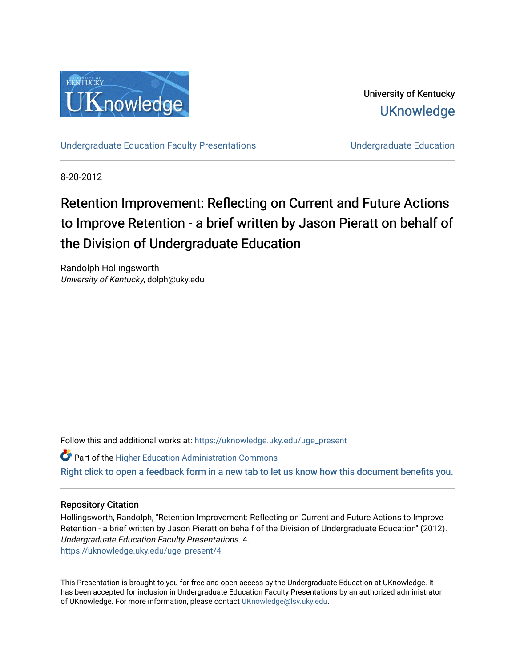

University of Kentucky **UKnowledge** 

[Undergraduate Education Faculty Presentations](https://uknowledge.uky.edu/uge_present) **Education** Undergraduate Education

8-20-2012

# Retention Improvement: Reflecting on Current and Future Actions to Improve Retention - a brief written by Jason Pieratt on behalf of the Division of Undergraduate Education

Randolph Hollingsworth University of Kentucky, dolph@uky.edu

Follow this and additional works at: [https://uknowledge.uky.edu/uge\\_present](https://uknowledge.uky.edu/uge_present?utm_source=uknowledge.uky.edu%2Fuge_present%2F4&utm_medium=PDF&utm_campaign=PDFCoverPages) 

Part of the [Higher Education Administration Commons](http://network.bepress.com/hgg/discipline/791?utm_source=uknowledge.uky.edu%2Fuge_present%2F4&utm_medium=PDF&utm_campaign=PDFCoverPages)  [Right click to open a feedback form in a new tab to let us know how this document benefits you.](https://uky.az1.qualtrics.com/jfe/form/SV_9mq8fx2GnONRfz7)

### Repository Citation

Hollingsworth, Randolph, "Retention Improvement: Reflecting on Current and Future Actions to Improve Retention - a brief written by Jason Pieratt on behalf of the Division of Undergraduate Education" (2012). Undergraduate Education Faculty Presentations. 4. [https://uknowledge.uky.edu/uge\\_present/4](https://uknowledge.uky.edu/uge_present/4?utm_source=uknowledge.uky.edu%2Fuge_present%2F4&utm_medium=PDF&utm_campaign=PDFCoverPages) 

This Presentation is brought to you for free and open access by the Undergraduate Education at UKnowledge. It has been accepted for inclusion in Undergraduate Education Faculty Presentations by an authorized administrator of UKnowledge. For more information, please contact [UKnowledge@lsv.uky.edu.](mailto:UKnowledge@lsv.uky.edu)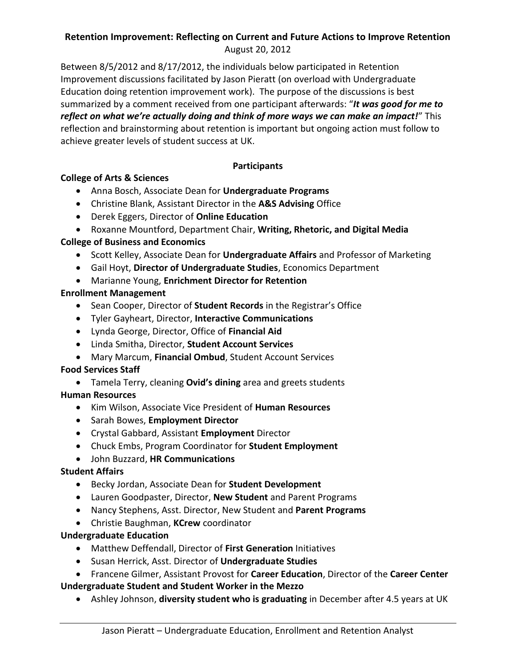# **Retention Improvement: Reflecting on Current and Future Actions to Improve Retention** August 20, 2012

Between 8/5/2012 and 8/17/2012, the individuals below participated in Retention Improvement discussions facilitated by Jason Pieratt (on overload with Undergraduate Education doing retention improvement work). The purpose of the discussions is best summarized by a comment received from one participant afterwards: "*It was good for me to reflect on what we're actually doing and think of more ways we can make an impact!*" This reflection and brainstorming about retention is important but ongoing action must follow to achieve greater levels of student success at UK.

# **Participants**

# **College of Arts & Sciences**

- Anna Bosch, Associate Dean for **Undergraduate Programs**
- Christine Blank, Assistant Director in the **A&S Advising** Office
- Derek Eggers, Director of **Online Education**
- Roxanne Mountford, Department Chair, **Writing, Rhetoric, and Digital Media**

# **College of Business and Economics**

- Scott Kelley, Associate Dean for **Undergraduate Affairs** and Professor of Marketing
- Gail Hoyt, **Director of Undergraduate Studies**, Economics Department
- Marianne Young, **Enrichment Director for Retention**

# **Enrollment Management**

- Sean Cooper, Director of **Student Records** in the Registrar's Office
- Tyler Gayheart, Director, **Interactive Communications**
- Lynda George, Director, Office of **Financial Aid**
- Linda Smitha, Director, **Student Account Services**
- Mary Marcum, **Financial Ombud**, Student Account Services

# **Food Services Staff**

Tamela Terry, cleaning **Ovid's dining** area and greets students

# **Human Resources**

- Kim Wilson, Associate Vice President of **Human Resources**
- Sarah Bowes, **Employment Director**
- Crystal Gabbard, Assistant **Employment** Director
- Chuck Embs, Program Coordinator for **Student Employment**
- John Buzzard, **HR Communications**

# **Student Affairs**

- Becky Jordan, Associate Dean for **Student Development**
- Lauren Goodpaster, Director, **New Student** and Parent Programs
- Nancy Stephens, Asst. Director, New Student and **Parent Programs**
- Christie Baughman, **KCrew** coordinator

# **Undergraduate Education**

- Matthew Deffendall, Director of **First Generation** Initiatives
- Susan Herrick, Asst. Director of **Undergraduate Studies**
- Francene Gilmer, Assistant Provost for **Career Education**, Director of the **Career Center Undergraduate Student and Student Worker in the Mezzo**
	- Ashley Johnson, **diversity student who is graduating** in December after 4.5 years at UK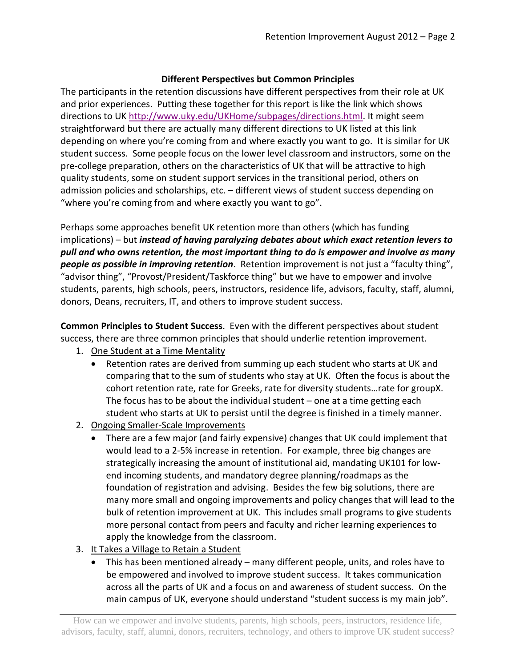## **Different Perspectives but Common Principles**

The participants in the retention discussions have different perspectives from their role at UK and prior experiences. Putting these together for this report is like the link which shows directions to UK [http://www.uky.edu/UKHome/subpages/directions.html.](http://www.uky.edu/UKHome/subpages/directions.html) It might seem straightforward but there are actually many different directions to UK listed at this link depending on where you're coming from and where exactly you want to go. It is similar for UK student success. Some people focus on the lower level classroom and instructors, some on the pre-college preparation, others on the characteristics of UK that will be attractive to high quality students, some on student support services in the transitional period, others on admission policies and scholarships, etc. – different views of student success depending on "where you're coming from and where exactly you want to go".

Perhaps some approaches benefit UK retention more than others (which has funding implications) – but *instead of having paralyzing debates about which exact retention levers to pull and who owns retention, the most important thing to do is empower and involve as many people as possible in improving retention*. Retention improvement is not just a "faculty thing", "advisor thing", "Provost/President/Taskforce thing" but we have to empower and involve students, parents, high schools, peers, instructors, residence life, advisors, faculty, staff, alumni, donors, Deans, recruiters, IT, and others to improve student success.

**Common Principles to Student Success**. Even with the different perspectives about student success, there are three common principles that should underlie retention improvement.

- 1. One Student at a Time Mentality
	- Retention rates are derived from summing up each student who starts at UK and comparing that to the sum of students who stay at UK. Often the focus is about the cohort retention rate, rate for Greeks, rate for diversity students…rate for groupX. The focus has to be about the individual student – one at a time getting each student who starts at UK to persist until the degree is finished in a timely manner.
- 2. Ongoing Smaller-Scale Improvements
	- There are a few major (and fairly expensive) changes that UK could implement that would lead to a 2-5% increase in retention. For example, three big changes are strategically increasing the amount of institutional aid, mandating UK101 for lowend incoming students, and mandatory degree planning/roadmaps as the foundation of registration and advising. Besides the few big solutions, there are many more small and ongoing improvements and policy changes that will lead to the bulk of retention improvement at UK. This includes small programs to give students more personal contact from peers and faculty and richer learning experiences to apply the knowledge from the classroom.
- 3. It Takes a Village to Retain a Student
	- This has been mentioned already many different people, units, and roles have to be empowered and involved to improve student success. It takes communication across all the parts of UK and a focus on and awareness of student success. On the main campus of UK, everyone should understand "student success is my main job".

How can we empower and involve students, parents, high schools, peers, instructors, residence life, advisors, faculty, staff, alumni, donors, recruiters, technology, and others to improve UK student success?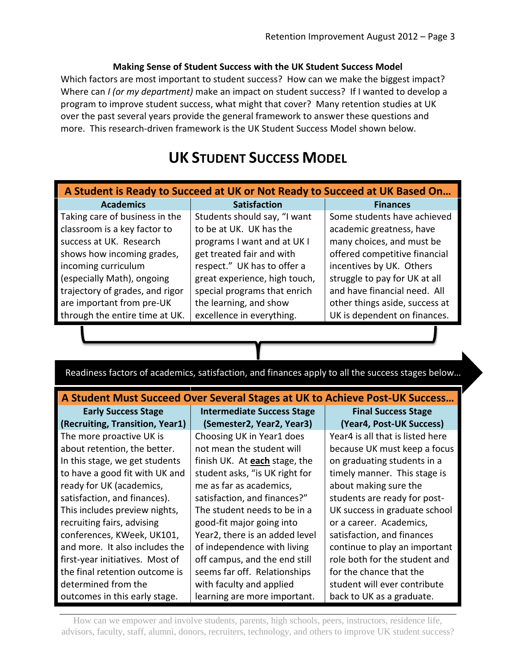# **Making Sense of Student Success with the UK Student Success Model**

Which factors are most important to student success? How can we make the biggest impact? Where can *I (or my department)* make an impact on student success? If I wanted to develop a program to improve student success, what might that cover? Many retention studies at UK over the past several years provide the general framework to answer these questions and more. This research-driven framework is the UK Student Success Model shown below.

# **UK STUDENT SUCCESS MODEL**

| A Student is Ready to Succeed at UK or Not Ready to Succeed at UK Based On |                               |                                |
|----------------------------------------------------------------------------|-------------------------------|--------------------------------|
| <b>Academics</b>                                                           | <b>Satisfaction</b>           | <b>Finances</b>                |
| Taking care of business in the                                             | Students should say, "I want  | Some students have achieved    |
| classroom is a key factor to                                               | to be at UK. UK has the       | academic greatness, have       |
| success at UK. Research                                                    | programs I want and at UK I   | many choices, and must be      |
| shows how incoming grades,                                                 | get treated fair and with     | offered competitive financial  |
| incoming curriculum                                                        | respect." UK has to offer a   | incentives by UK. Others       |
| (especially Math), ongoing                                                 | great experience, high touch, | struggle to pay for UK at all  |
| trajectory of grades, and rigor                                            | special programs that enrich  | and have financial need. All   |
| are important from pre-UK                                                  | the learning, and show        | other things aside, success at |
| through the entire time at UK.                                             | excellence in everything.     | UK is dependent on finances.   |

Readiness factors of academics, satisfaction, and finances apply to all the success stages below…

# **A Student Must Succeed Over Several Stages at UK to Achieve Post-UK Success…**

**(Recruiting, Transition, Year1) (Semester2, Year2, Year3) (Year4, Post-UK Success)**

The more proactive UK is about retention, the better. In this stage, we get students to have a good fit with UK and ready for UK (academics, satisfaction, and finances). This includes preview nights, recruiting fairs, advising conferences, KWeek, UK101, and more. It also includes the first-year initiatives. Most of the final retention outcome is determined from the outcomes in this early stage.

**Early Success Stage Intermediate Success Stage Final Success Stage**

Choosing UK in Year1 does not mean the student will finish UK. At **each** stage, the student asks, "is UK right for me as far as academics, satisfaction, and finances?" The student needs to be in a good-fit major going into Year2, there is an added level of independence with living off campus, and the end still seems far off. Relationships with faculty and applied learning are more important.

Year4 is all that is listed here because UK must keep a focus on graduating students in a timely manner. This stage is about making sure the students are ready for post-UK success in graduate school or a career. Academics, satisfaction, and finances continue to play an important role both for the student and for the chance that the student will ever contribute back to UK as a graduate.

How can we empower and involve students, parents, high schools, peers, instructors, residence life, advisors, faculty, staff, alumni, donors, recruiters, technology, and others to improve UK student success?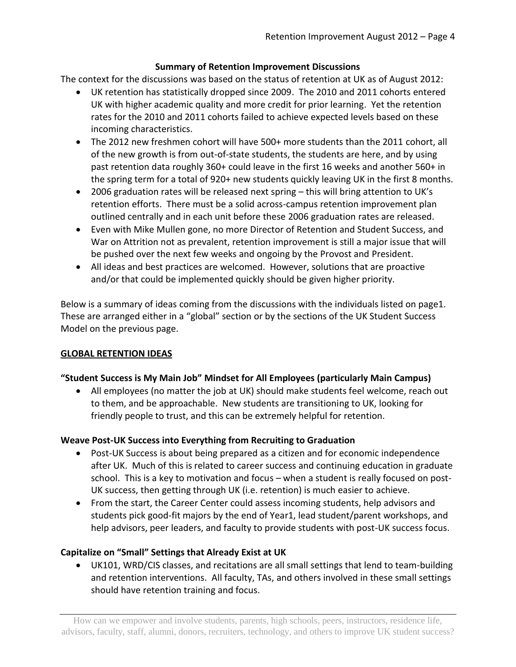# **Summary of Retention Improvement Discussions**

The context for the discussions was based on the status of retention at UK as of August 2012:

- UK retention has statistically dropped since 2009. The 2010 and 2011 cohorts entered UK with higher academic quality and more credit for prior learning. Yet the retention rates for the 2010 and 2011 cohorts failed to achieve expected levels based on these incoming characteristics.
- The 2012 new freshmen cohort will have 500+ more students than the 2011 cohort, all of the new growth is from out-of-state students, the students are here, and by using past retention data roughly 360+ could leave in the first 16 weeks and another 560+ in the spring term for a total of 920+ new students quickly leaving UK in the first 8 months.
- 2006 graduation rates will be released next spring this will bring attention to UK's retention efforts. There must be a solid across-campus retention improvement plan outlined centrally and in each unit before these 2006 graduation rates are released.
- Even with Mike Mullen gone, no more Director of Retention and Student Success, and War on Attrition not as prevalent, retention improvement is still a major issue that will be pushed over the next few weeks and ongoing by the Provost and President.
- All ideas and best practices are welcomed. However, solutions that are proactive and/or that could be implemented quickly should be given higher priority.

Below is a summary of ideas coming from the discussions with the individuals listed on page1. These are arranged either in a "global" section or by the sections of the UK Student Success Model on the previous page.

# **GLOBAL RETENTION IDEAS**

# **"Student Success is My Main Job" Mindset for All Employees (particularly Main Campus)**

 All employees (no matter the job at UK) should make students feel welcome, reach out to them, and be approachable. New students are transitioning to UK, looking for friendly people to trust, and this can be extremely helpful for retention.

# **Weave Post-UK Success into Everything from Recruiting to Graduation**

- Post-UK Success is about being prepared as a citizen and for economic independence after UK. Much of this is related to career success and continuing education in graduate school. This is a key to motivation and focus – when a student is really focused on post-UK success, then getting through UK (i.e. retention) is much easier to achieve.
- From the start, the Career Center could assess incoming students, help advisors and students pick good-fit majors by the end of Year1, lead student/parent workshops, and help advisors, peer leaders, and faculty to provide students with post-UK success focus.

# **Capitalize on "Small" Settings that Already Exist at UK**

 UK101, WRD/CIS classes, and recitations are all small settings that lend to team-building and retention interventions. All faculty, TAs, and others involved in these small settings should have retention training and focus.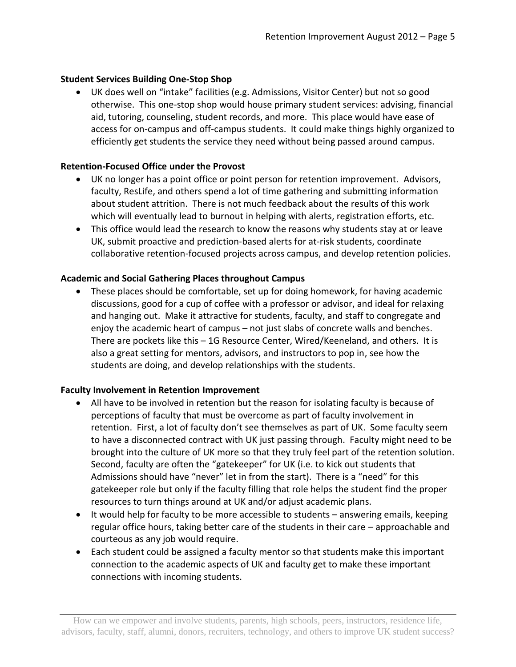# **Student Services Building One-Stop Shop**

 UK does well on "intake" facilities (e.g. Admissions, Visitor Center) but not so good otherwise. This one-stop shop would house primary student services: advising, financial aid, tutoring, counseling, student records, and more. This place would have ease of access for on-campus and off-campus students. It could make things highly organized to efficiently get students the service they need without being passed around campus.

## **Retention-Focused Office under the Provost**

- UK no longer has a point office or point person for retention improvement. Advisors, faculty, ResLife, and others spend a lot of time gathering and submitting information about student attrition. There is not much feedback about the results of this work which will eventually lead to burnout in helping with alerts, registration efforts, etc.
- This office would lead the research to know the reasons why students stay at or leave UK, submit proactive and prediction-based alerts for at-risk students, coordinate collaborative retention-focused projects across campus, and develop retention policies.

# **Academic and Social Gathering Places throughout Campus**

 These places should be comfortable, set up for doing homework, for having academic discussions, good for a cup of coffee with a professor or advisor, and ideal for relaxing and hanging out. Make it attractive for students, faculty, and staff to congregate and enjoy the academic heart of campus – not just slabs of concrete walls and benches. There are pockets like this – 1G Resource Center, Wired/Keeneland, and others. It is also a great setting for mentors, advisors, and instructors to pop in, see how the students are doing, and develop relationships with the students.

### **Faculty Involvement in Retention Improvement**

- All have to be involved in retention but the reason for isolating faculty is because of perceptions of faculty that must be overcome as part of faculty involvement in retention. First, a lot of faculty don't see themselves as part of UK. Some faculty seem to have a disconnected contract with UK just passing through. Faculty might need to be brought into the culture of UK more so that they truly feel part of the retention solution. Second, faculty are often the "gatekeeper" for UK (i.e. to kick out students that Admissions should have "never" let in from the start). There is a "need" for this gatekeeper role but only if the faculty filling that role helps the student find the proper resources to turn things around at UK and/or adjust academic plans.
- It would help for faculty to be more accessible to students answering emails, keeping regular office hours, taking better care of the students in their care – approachable and courteous as any job would require.
- Each student could be assigned a faculty mentor so that students make this important connection to the academic aspects of UK and faculty get to make these important connections with incoming students.

How can we empower and involve students, parents, high schools, peers, instructors, residence life, advisors, faculty, staff, alumni, donors, recruiters, technology, and others to improve UK student success?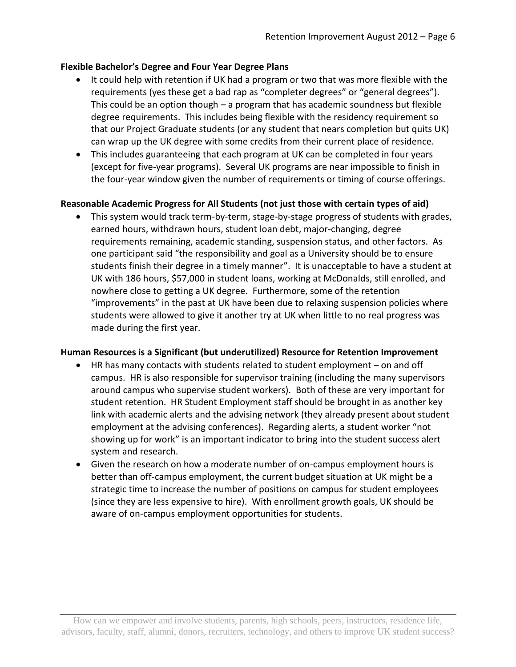## **Flexible Bachelor's Degree and Four Year Degree Plans**

- It could help with retention if UK had a program or two that was more flexible with the requirements (yes these get a bad rap as "completer degrees" or "general degrees"). This could be an option though – a program that has academic soundness but flexible degree requirements. This includes being flexible with the residency requirement so that our Project Graduate students (or any student that nears completion but quits UK) can wrap up the UK degree with some credits from their current place of residence.
- This includes guaranteeing that each program at UK can be completed in four years (except for five-year programs). Several UK programs are near impossible to finish in the four-year window given the number of requirements or timing of course offerings.

# **Reasonable Academic Progress for All Students (not just those with certain types of aid)**

 This system would track term-by-term, stage-by-stage progress of students with grades, earned hours, withdrawn hours, student loan debt, major-changing, degree requirements remaining, academic standing, suspension status, and other factors. As one participant said "the responsibility and goal as a University should be to ensure students finish their degree in a timely manner". It is unacceptable to have a student at UK with 186 hours, \$57,000 in student loans, working at McDonalds, still enrolled, and nowhere close to getting a UK degree. Furthermore, some of the retention "improvements" in the past at UK have been due to relaxing suspension policies where students were allowed to give it another try at UK when little to no real progress was made during the first year.

### **Human Resources is a Significant (but underutilized) Resource for Retention Improvement**

- HR has many contacts with students related to student employment on and off campus. HR is also responsible for supervisor training (including the many supervisors around campus who supervise student workers). Both of these are very important for student retention. HR Student Employment staff should be brought in as another key link with academic alerts and the advising network (they already present about student employment at the advising conferences). Regarding alerts, a student worker "not showing up for work" is an important indicator to bring into the student success alert system and research.
- Given the research on how a moderate number of on-campus employment hours is better than off-campus employment, the current budget situation at UK might be a strategic time to increase the number of positions on campus for student employees (since they are less expensive to hire). With enrollment growth goals, UK should be aware of on-campus employment opportunities for students.

How can we empower and involve students, parents, high schools, peers, instructors, residence life, advisors, faculty, staff, alumni, donors, recruiters, technology, and others to improve UK student success?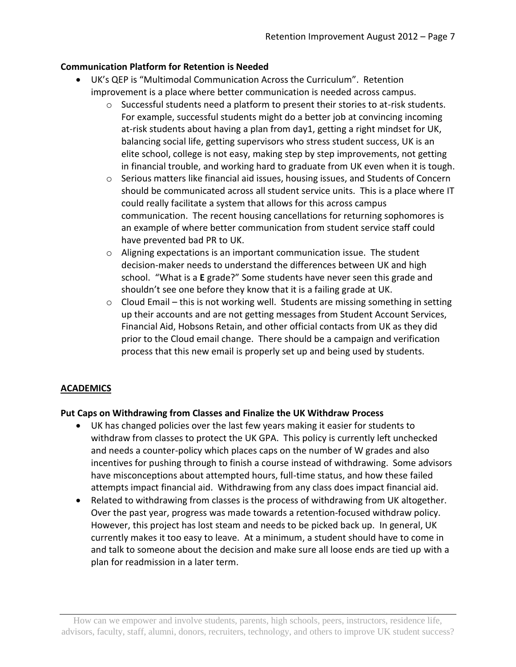# **Communication Platform for Retention is Needed**

- UK's QEP is "Multimodal Communication Across the Curriculum". Retention improvement is a place where better communication is needed across campus.
	- $\circ$  Successful students need a platform to present their stories to at-risk students. For example, successful students might do a better job at convincing incoming at-risk students about having a plan from day1, getting a right mindset for UK, balancing social life, getting supervisors who stress student success, UK is an elite school, college is not easy, making step by step improvements, not getting in financial trouble, and working hard to graduate from UK even when it is tough.
	- $\circ$  Serious matters like financial aid issues, housing issues, and Students of Concern should be communicated across all student service units. This is a place where IT could really facilitate a system that allows for this across campus communication. The recent housing cancellations for returning sophomores is an example of where better communication from student service staff could have prevented bad PR to UK.
	- $\circ$  Aligning expectations is an important communication issue. The student decision-maker needs to understand the differences between UK and high school. "What is a **E** grade?" Some students have never seen this grade and shouldn't see one before they know that it is a failing grade at UK.
	- o Cloud Email this is not working well. Students are missing something in setting up their accounts and are not getting messages from Student Account Services, Financial Aid, Hobsons Retain, and other official contacts from UK as they did prior to the Cloud email change. There should be a campaign and verification process that this new email is properly set up and being used by students.

# **ACADEMICS**

# **Put Caps on Withdrawing from Classes and Finalize the UK Withdraw Process**

- UK has changed policies over the last few years making it easier for students to withdraw from classes to protect the UK GPA. This policy is currently left unchecked and needs a counter-policy which places caps on the number of W grades and also incentives for pushing through to finish a course instead of withdrawing. Some advisors have misconceptions about attempted hours, full-time status, and how these failed attempts impact financial aid. Withdrawing from any class does impact financial aid.
- Related to withdrawing from classes is the process of withdrawing from UK altogether. Over the past year, progress was made towards a retention-focused withdraw policy. However, this project has lost steam and needs to be picked back up. In general, UK currently makes it too easy to leave. At a minimum, a student should have to come in and talk to someone about the decision and make sure all loose ends are tied up with a plan for readmission in a later term.

How can we empower and involve students, parents, high schools, peers, instructors, residence life, advisors, faculty, staff, alumni, donors, recruiters, technology, and others to improve UK student success?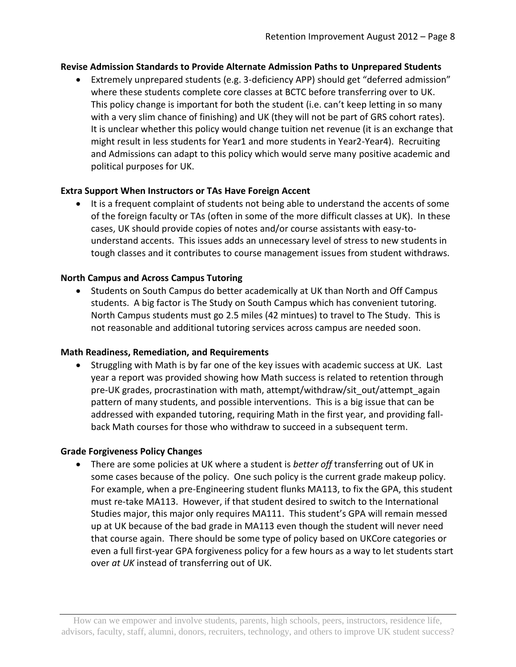## **Revise Admission Standards to Provide Alternate Admission Paths to Unprepared Students**

 Extremely unprepared students (e.g. 3-deficiency APP) should get "deferred admission" where these students complete core classes at BCTC before transferring over to UK. This policy change is important for both the student (i.e. can't keep letting in so many with a very slim chance of finishing) and UK (they will not be part of GRS cohort rates). It is unclear whether this policy would change tuition net revenue (it is an exchange that might result in less students for Year1 and more students in Year2-Year4). Recruiting and Admissions can adapt to this policy which would serve many positive academic and political purposes for UK.

## **Extra Support When Instructors or TAs Have Foreign Accent**

• It is a frequent complaint of students not being able to understand the accents of some of the foreign faculty or TAs (often in some of the more difficult classes at UK). In these cases, UK should provide copies of notes and/or course assistants with easy-tounderstand accents. This issues adds an unnecessary level of stress to new students in tough classes and it contributes to course management issues from student withdraws.

## **North Campus and Across Campus Tutoring**

 Students on South Campus do better academically at UK than North and Off Campus students. A big factor is The Study on South Campus which has convenient tutoring. North Campus students must go 2.5 miles (42 mintues) to travel to The Study. This is not reasonable and additional tutoring services across campus are needed soon.

### **Math Readiness, Remediation, and Requirements**

• Struggling with Math is by far one of the key issues with academic success at UK. Last year a report was provided showing how Math success is related to retention through pre-UK grades, procrastination with math, attempt/withdraw/sit\_out/attempt\_again pattern of many students, and possible interventions. This is a big issue that can be addressed with expanded tutoring, requiring Math in the first year, and providing fallback Math courses for those who withdraw to succeed in a subsequent term.

### **Grade Forgiveness Policy Changes**

 There are some policies at UK where a student is *better off* transferring out of UK in some cases because of the policy. One such policy is the current grade makeup policy. For example, when a pre-Engineering student flunks MA113, to fix the GPA, this student must re-take MA113. However, if that student desired to switch to the International Studies major, this major only requires MA111. This student's GPA will remain messed up at UK because of the bad grade in MA113 even though the student will never need that course again. There should be some type of policy based on UKCore categories or even a full first-year GPA forgiveness policy for a few hours as a way to let students start over *at UK* instead of transferring out of UK.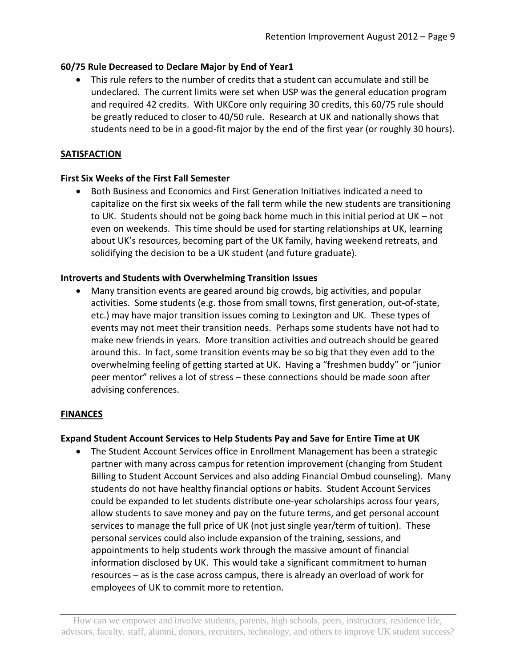# **60/75 Rule Decreased to Declare Major by End of Year1**

 This rule refers to the number of credits that a student can accumulate and still be undeclared. The current limits were set when USP was the general education program and required 42 credits. With UKCore only requiring 30 credits, this 60/75 rule should be greatly reduced to closer to 40/50 rule. Research at UK and nationally shows that students need to be in a good-fit major by the end of the first year (or roughly 30 hours).

### **SATISFACTION**

## **First Six Weeks of the First Fall Semester**

 Both Business and Economics and First Generation Initiatives indicated a need to capitalize on the first six weeks of the fall term while the new students are transitioning to UK. Students should not be going back home much in this initial period at UK – not even on weekends. This time should be used for starting relationships at UK, learning about UK's resources, becoming part of the UK family, having weekend retreats, and solidifying the decision to be a UK student (and future graduate).

## **Introverts and Students with Overwhelming Transition Issues**

 Many transition events are geared around big crowds, big activities, and popular activities. Some students (e.g. those from small towns, first generation, out-of-state, etc.) may have major transition issues coming to Lexington and UK. These types of events may not meet their transition needs. Perhaps some students have not had to make new friends in years. More transition activities and outreach should be geared around this. In fact, some transition events may be so big that they even add to the overwhelming feeling of getting started at UK. Having a "freshmen buddy" or "junior peer mentor" relives a lot of stress – these connections should be made soon after advising conferences.

### **FINANCES**

### **Expand Student Account Services to Help Students Pay and Save for Entire Time at UK**

 The Student Account Services office in Enrollment Management has been a strategic partner with many across campus for retention improvement (changing from Student Billing to Student Account Services and also adding Financial Ombud counseling). Many students do not have healthy financial options or habits. Student Account Services could be expanded to let students distribute one-year scholarships across four years, allow students to save money and pay on the future terms, and get personal account services to manage the full price of UK (not just single year/term of tuition). These personal services could also include expansion of the training, sessions, and appointments to help students work through the massive amount of financial information disclosed by UK. This would take a significant commitment to human resources – as is the case across campus, there is already an overload of work for employees of UK to commit more to retention.

How can we empower and involve students, parents, high schools, peers, instructors, residence life, advisors, faculty, staff, alumni, donors, recruiters, technology, and others to improve UK student success?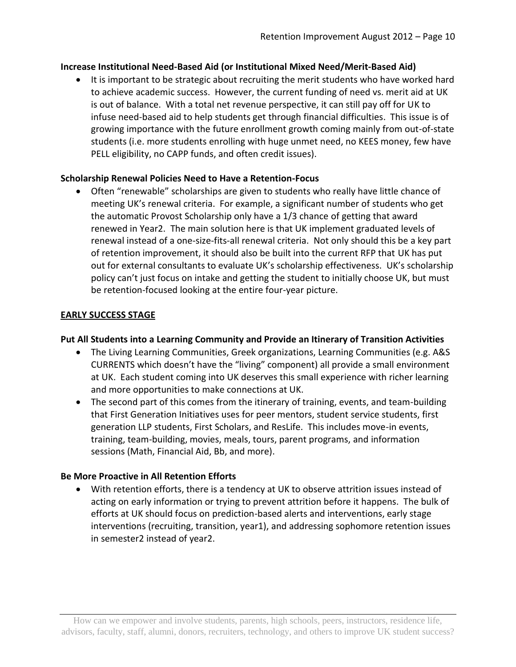## **Increase Institutional Need-Based Aid (or Institutional Mixed Need/Merit-Based Aid)**

• It is important to be strategic about recruiting the merit students who have worked hard to achieve academic success. However, the current funding of need vs. merit aid at UK is out of balance. With a total net revenue perspective, it can still pay off for UK to infuse need-based aid to help students get through financial difficulties. This issue is of growing importance with the future enrollment growth coming mainly from out-of-state students (i.e. more students enrolling with huge unmet need, no KEES money, few have PELL eligibility, no CAPP funds, and often credit issues).

## **Scholarship Renewal Policies Need to Have a Retention-Focus**

 Often "renewable" scholarships are given to students who really have little chance of meeting UK's renewal criteria. For example, a significant number of students who get the automatic Provost Scholarship only have a 1/3 chance of getting that award renewed in Year2. The main solution here is that UK implement graduated levels of renewal instead of a one-size-fits-all renewal criteria. Not only should this be a key part of retention improvement, it should also be built into the current RFP that UK has put out for external consultants to evaluate UK's scholarship effectiveness. UK's scholarship policy can't just focus on intake and getting the student to initially choose UK, but must be retention-focused looking at the entire four-year picture.

## **EARLY SUCCESS STAGE**

### **Put All Students into a Learning Community and Provide an Itinerary of Transition Activities**

- The Living Learning Communities, Greek organizations, Learning Communities (e.g. A&S CURRENTS which doesn't have the "living" component) all provide a small environment at UK. Each student coming into UK deserves this small experience with richer learning and more opportunities to make connections at UK.
- The second part of this comes from the itinerary of training, events, and team-building that First Generation Initiatives uses for peer mentors, student service students, first generation LLP students, First Scholars, and ResLife. This includes move-in events, training, team-building, movies, meals, tours, parent programs, and information sessions (Math, Financial Aid, Bb, and more).

### **Be More Proactive in All Retention Efforts**

 With retention efforts, there is a tendency at UK to observe attrition issues instead of acting on early information or trying to prevent attrition before it happens. The bulk of efforts at UK should focus on prediction-based alerts and interventions, early stage interventions (recruiting, transition, year1), and addressing sophomore retention issues in semester2 instead of year2.

How can we empower and involve students, parents, high schools, peers, instructors, residence life, advisors, faculty, staff, alumni, donors, recruiters, technology, and others to improve UK student success?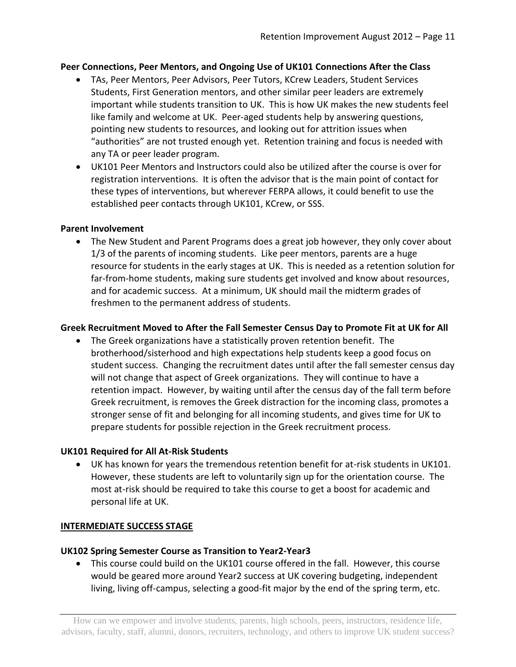### **Peer Connections, Peer Mentors, and Ongoing Use of UK101 Connections After the Class**

- TAs, Peer Mentors, Peer Advisors, Peer Tutors, KCrew Leaders, Student Services Students, First Generation mentors, and other similar peer leaders are extremely important while students transition to UK. This is how UK makes the new students feel like family and welcome at UK. Peer-aged students help by answering questions, pointing new students to resources, and looking out for attrition issues when "authorities" are not trusted enough yet. Retention training and focus is needed with any TA or peer leader program.
- UK101 Peer Mentors and Instructors could also be utilized after the course is over for registration interventions. It is often the advisor that is the main point of contact for these types of interventions, but wherever FERPA allows, it could benefit to use the established peer contacts through UK101, KCrew, or SSS.

#### **Parent Involvement**

 The New Student and Parent Programs does a great job however, they only cover about 1/3 of the parents of incoming students. Like peer mentors, parents are a huge resource for students in the early stages at UK. This is needed as a retention solution for far-from-home students, making sure students get involved and know about resources, and for academic success. At a minimum, UK should mail the midterm grades of freshmen to the permanent address of students.

### **Greek Recruitment Moved to After the Fall Semester Census Day to Promote Fit at UK for All**

 The Greek organizations have a statistically proven retention benefit. The brotherhood/sisterhood and high expectations help students keep a good focus on student success. Changing the recruitment dates until after the fall semester census day will not change that aspect of Greek organizations. They will continue to have a retention impact. However, by waiting until after the census day of the fall term before Greek recruitment, is removes the Greek distraction for the incoming class, promotes a stronger sense of fit and belonging for all incoming students, and gives time for UK to prepare students for possible rejection in the Greek recruitment process.

### **UK101 Required for All At-Risk Students**

 UK has known for years the tremendous retention benefit for at-risk students in UK101. However, these students are left to voluntarily sign up for the orientation course. The most at-risk should be required to take this course to get a boost for academic and personal life at UK.

#### **INTERMEDIATE SUCCESS STAGE**

### **UK102 Spring Semester Course as Transition to Year2-Year3**

 This course could build on the UK101 course offered in the fall. However, this course would be geared more around Year2 success at UK covering budgeting, independent living, living off-campus, selecting a good-fit major by the end of the spring term, etc.